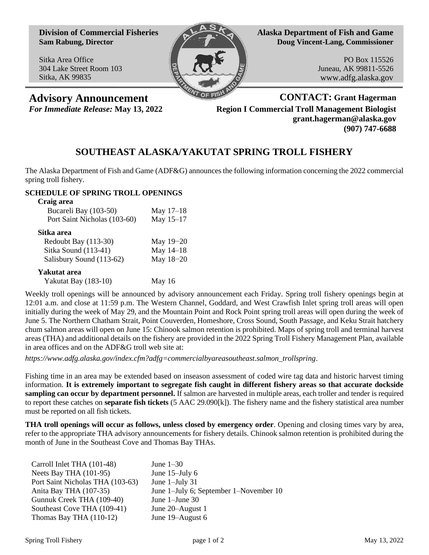**Division of Commercial Fisheries Sam Rabung, Director**

Sitka Area Office 304 Lake Street Room 103 Sitka, AK 99835



**Alaska Department of Fish and Game Doug Vincent-Lang, Commissioner**

> PO Box 115526 Juneau, AK 99811-5526 www.adfg.alaska.gov

**Advisory Announcement CONTACT: Grant Hagerman** *For Immediate Release:* **May 13, 2022 Region I Commercial Troll Management Biologist grant.hagerman@alaska.gov (907) 747-6688**

## **SOUTHEAST ALASKA/YAKUTAT SPRING TROLL FISHERY**

The Alaska Department of Fish and Game (ADF&G) announces the following information concerning the 2022 commercial spring troll fishery.

## **SCHEDULE OF SPRING TROLL OPENINGS**

| Craig area                   |             |
|------------------------------|-------------|
| Bucareli Bay (103-50)        | May $17-18$ |
| Port Saint Nicholas (103-60) | May 15-17   |
| Sitka area                   |             |
| Redoubt Bay (113-30)         | May 19-20   |
| Sitka Sound (113-41)         | May 14-18   |
| Salisbury Sound (113-62)     | May 18-20   |
| Yakutat area                 |             |
| Yakutat Bay (183-10)         | May 16      |

Weekly troll openings will be announced by advisory announcement each Friday. Spring troll fishery openings begin at 12:01 a.m. and close at 11:59 p.m. The Western Channel, Goddard, and West Crawfish Inlet spring troll areas will open initially during the week of May 29, and the Mountain Point and Rock Point spring troll areas will open during the week of June 5. The Northern Chatham Strait, Point Couverden, Homeshore, Cross Sound, South Passage, and Keku Strait hatchery chum salmon areas will open on June 15: Chinook salmon retention is prohibited. Maps of spring troll and terminal harvest areas (THA) and additional details on the fishery are provided in the 2022 Spring Troll Fishery Management Plan, available in area offices and on the ADF&G troll web site at:

*https://www.adfg.alaska.gov/index.cfm?adfg=commercialbyareasoutheast.salmon\_trollspring*.

Fishing time in an area may be extended based on inseason assessment of coded wire tag data and historic harvest timing information. **It is extremely important to segregate fish caught in different fishery areas so that accurate dockside sampling can occur by department personnel.** If salmon are harvested in multiple areas, each troller and tender is required to report these catches on **separate fish tickets** (5 AAC 29.090[k]). The fishery name and the fishery statistical area number must be reported on all fish tickets.

**THA troll openings will occur as follows, unless closed by emergency order**. Opening and closing times vary by area, refer to the appropriate THA advisory announcements for fishery details. Chinook salmon retention is prohibited during the month of June in the Southeast Cove and Thomas Bay THAs.

| Carroll Inlet THA (101-48)       | June $1-30$                            |
|----------------------------------|----------------------------------------|
| Neets Bay THA (101-95)           | June 15-July 6                         |
| Port Saint Nicholas THA (103-63) | June $1$ -July 31                      |
| Anita Bay THA (107-35)           | June 1-July 6; September 1-November 10 |
| Gunnuk Creek THA (109-40)        | June $1$ -June $30$                    |
| Southeast Cove THA (109-41)      | June 20–August 1                       |
| Thomas Bay THA $(110-12)$        | June 19–August 6                       |